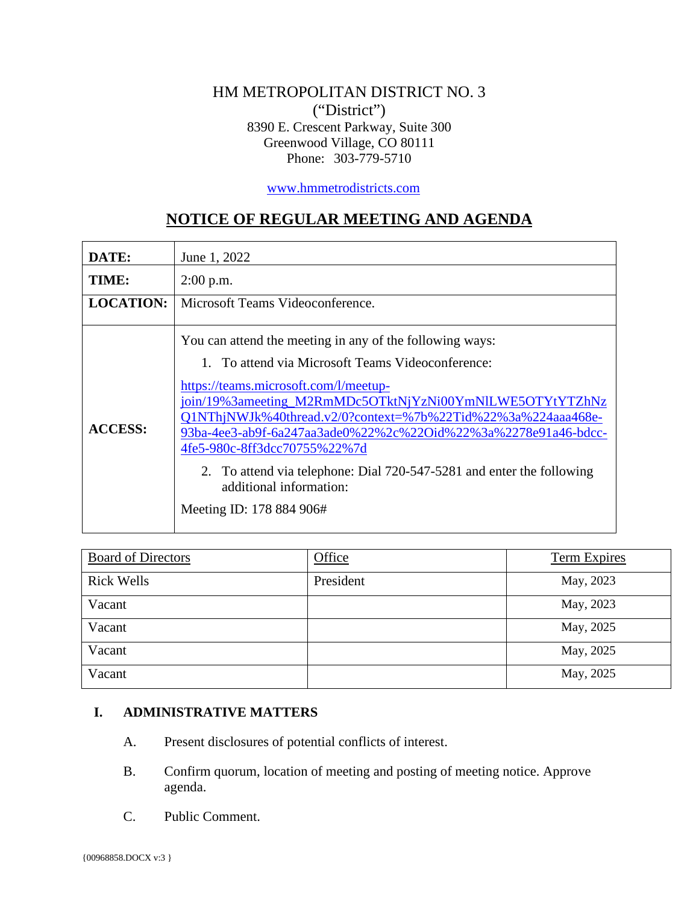# HM METROPOLITAN DISTRICT NO. 3 ("District") 8390 E. Crescent Parkway, Suite 300 Greenwood Village, CO 80111 Phone: 303-779-5710

[www.hmmetrodistricts.com](http://www.hmmetrodistricts.com/)

# **NOTICE OF REGULAR MEETING AND AGENDA**

| DATE:            | June 1, 2022                                                                                                                                                                                                                                                                                                                                                                                                                                                                                                         |
|------------------|----------------------------------------------------------------------------------------------------------------------------------------------------------------------------------------------------------------------------------------------------------------------------------------------------------------------------------------------------------------------------------------------------------------------------------------------------------------------------------------------------------------------|
| TIME:            | $2:00$ p.m.                                                                                                                                                                                                                                                                                                                                                                                                                                                                                                          |
| <b>LOCATION:</b> | Microsoft Teams Videoconference.                                                                                                                                                                                                                                                                                                                                                                                                                                                                                     |
| <b>ACCESS:</b>   | You can attend the meeting in any of the following ways:<br>1. To attend via Microsoft Teams Videoconference:<br>https://teams.microsoft.com/l/meetup-<br>join/19%3ameeting_M2RmMDc5OTktNjYzNi00YmNlLWE5OTYtYTZhNz<br>Q1NThjNWJk%40thread.v2/0?context=%7b%22Tid%22%3a%224aaa468e-<br>93ba-4ee3-ab9f-6a247aa3ade0%22%2c%22Oid%22%3a%2278e91a46-bdcc-<br>4fe5-980c-8ff3dcc70755%22%7d<br>2. To attend via telephone: Dial 720-547-5281 and enter the following<br>additional information:<br>Meeting ID: 178 884 906# |

| <b>Board of Directors</b> | Office    | <b>Term Expires</b> |
|---------------------------|-----------|---------------------|
| <b>Rick Wells</b>         | President | May, 2023           |
| Vacant                    |           | May, 2023           |
| Vacant                    |           | May, 2025           |
| Vacant                    |           | May, 2025           |
| Vacant                    |           | May, 2025           |

#### **I. ADMINISTRATIVE MATTERS**

- A. Present disclosures of potential conflicts of interest.
- B. Confirm quorum, location of meeting and posting of meeting notice. Approve agenda.
- C. Public Comment.